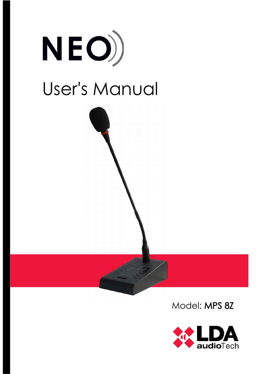

Model: MPS 8Z

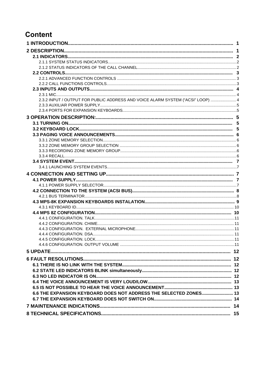# **Content**

| 2.3.2 INPUT / OUTPUT FOR PUBLIC ADDRESS AND VOICE ALARM SYSTEM ("ACSI" LOOP)  4 |  |
|---------------------------------------------------------------------------------|--|
|                                                                                 |  |
|                                                                                 |  |
|                                                                                 |  |
|                                                                                 |  |
|                                                                                 |  |
|                                                                                 |  |
|                                                                                 |  |
|                                                                                 |  |
|                                                                                 |  |
|                                                                                 |  |
|                                                                                 |  |
|                                                                                 |  |
|                                                                                 |  |
|                                                                                 |  |
|                                                                                 |  |
|                                                                                 |  |
|                                                                                 |  |
|                                                                                 |  |
|                                                                                 |  |
|                                                                                 |  |
|                                                                                 |  |
|                                                                                 |  |
|                                                                                 |  |
|                                                                                 |  |
|                                                                                 |  |
|                                                                                 |  |
|                                                                                 |  |
|                                                                                 |  |
|                                                                                 |  |
|                                                                                 |  |
|                                                                                 |  |
|                                                                                 |  |
|                                                                                 |  |
|                                                                                 |  |
| 6.6 THE EXPANSION KEYBOARD DOES NOT ADDRESS THE SELECTED ZONES 13               |  |
|                                                                                 |  |
|                                                                                 |  |
|                                                                                 |  |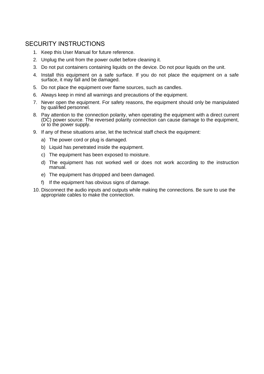## SECURITY INSTRUCTIONS

- 1. Keep this User Manual for future reference.
- 2. Unplug the unit from the power outlet before cleaning it.
- 3. Do not put containers containing liquids on the device. Do not pour liquids on the unit.
- 4. Install this equipment on a safe surface. If you do not place the equipment on a safe surface, it may fall and be damaged.
- 5. Do not place the equipment over flame sources, such as candles.
- 6. Always keep in mind all warnings and precautions of the equipment.
- 7. Never open the equipment. For safety reasons, the equipment should only be manipulated by qualified personnel.
- 8. Pay attention to the connection polarity, when operating the equipment with a direct current (DC) power source. The reversed polarity connection can cause damage to the equipment, or to the power supply.
- 9. If any of these situations arise, let the technical staff check the equipment:
	- a) The power cord or plug is damaged.
	- b) Liquid has penetrated inside the equipment.
	- c) The equipment has been exposed to moisture.
	- d) The equipment has not worked well or does not work according to the instruction manual.
	- e) The equipment has dropped and been damaged.
	- f) If the equipment has obvious signs of damage.
- 10. Disconnect the audio inputs and outputs while making the connections. Be sure to use the appropriate cables to make the connection.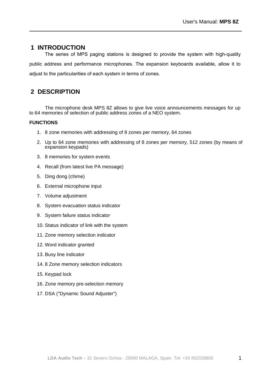## **1 INTRODUCTION**

The series of MPS paging stations is designed to provide the system with high-quality public address and performance microphones. The expansion keyboards available, allow it to adjust to the particularities of each system in terms of zones.

## **2 DESCRIPTION**

The microphone desk MPS 8Z allows to give live voice announcements messages for up to 64 memories of selection of public address zones of a NEO system.

## **FUNCTIONS**

- 1. 8 zone memories with addressing of 8 zones per memory, 64 zones
- 2. Up to 64 zone memories with addressing of 8 zones per memory, 512 zones (by means of expansion keypads)
- 3. 8 memories for system events
- 4. Recall (from latest live PA message)
- 5. Ding dong (chime)
- 6. External microphone input
- 7. Volume adjustment
- 8. System evacuation status indicator
- 9. System failure status indicator
- 10. Status indicator of link with the system
- 11. Zone memory selection indicator
- 12. Word indicator granted
- 13. Busy line indicator
- 14. 8 Zone memory selection indicators
- 15. Keypad lock
- 16. Zone memory pre-selection memory
- 17. DSA ("Dynamic Sound Adjuster")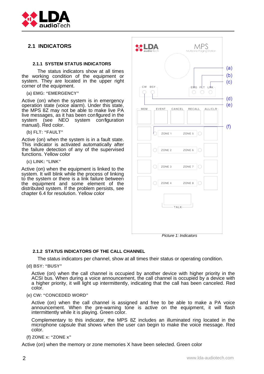

## **2.1 INDICATORS**

### **2.1.1 SYSTEM STATUS INDICATORS**

The status indicators show at all times the working condition of the equipment or system. They are located in the upper right corner of the equipment.

**(a) EMG: "EMERGENCY"**

Active (on) when the system is in emergency operation state (voice alarm). Under this state, the MPS 8Z may not be able to make live PA live messages, as it has been configured in the system (see NEO system configuration manual). Red color.

**(b) FLT: "FAULT"** 

Active (on) when the system is in a fault state. This indicator is activated automatically after the failure detection of any of the supervised functions. Yellow color

**(c) LINK: "LINK"** 

Active (on) when the equipment is linked to the system. It will blink while the process of linking to the system or there is a link failure between the equipment and some element of the distributed system. If the problem persists, see chapter 6.4 for resolution. Yellow color



Picture 1: Indicators

### **212 STATUS INDICATORS OF THE CALL CHANNEL**

The status indicators per channel, show at all times their status or operating condition.

**(d) BSY: "BUSY"** 

Active (on) when the call channel is occupied by another device with higher priority in the ACSI bus. When during a voice announcement, the call channel is occupied by a device with a higher priority, it will light up intermittently, indicating that the call has been canceled. Red color.

**(e) CW: "CONCEDED WORD"** 

Active (on) when the call channel is assigned and free to be able to make a PA voice announcement. When the pre-warning tone is active on the equipment, it will flash intermittently while it is playing. Green color.

Complementary to this indicator, the MPS 8Z includes an illuminated ring located in the microphone capsule that shows when the user can begin to make the voice message. Red color.

**(f) ZONE x: "ZONE x"**

Active (on) when the memory or zone memories X have been selected. Green color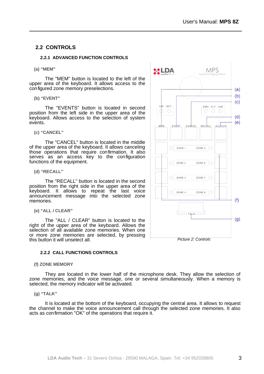## **2.2 CONTROLS**

### **2.2.1 ADVANCED FUNCTION CONTROLS**

#### **(a) "MEM"**

The "MEM" button is located to the left of the upper area of the keyboard. It allows access to the configured zone memory preselections.

**(b) "EVENT"** 

The "EVENTS" button is located in second position from the left side in the upper area of the keyboard. Allows access to the selection of system events.

**(c) "CANCEL"** 

The "CANCEL" button is located in the middle of the upper area of the keyboard. It allows canceling those operations that require confirmation. It also serves as an access key to the configuration functions of the equipment.

**(d) "RECALL"** 

The "RECALL" button is located in the second position from the right side in the upper area of the keyboard. It allows to repeat the last voice announcement message into the selected zone memories.

**(e) "ALL / CLEAR"** 

The "ALL / CLEAR" button is located to the right of the upper area of the keyboard. Allows the selection of all available zone memories. When one or more zone memories are selected, by pressing this button it will unselect all.

### **2.2.2 CALL FUNCTIONS CONTROLS**

#### **(f) ZONE MEMORY**

They are located in the lower half of the microphone desk. They allow the selection of zone memories, and the voice message, one or several simultaneously. When a memory is selected, the memory indicator will be activated.

**(g) "TALK"**

It is located at the bottom of the keyboard, occupying the central area. It allows to request the channel to make the voice announcement call through the selected zone memories. It also acts as confirmation "OK" of the operations that require it.

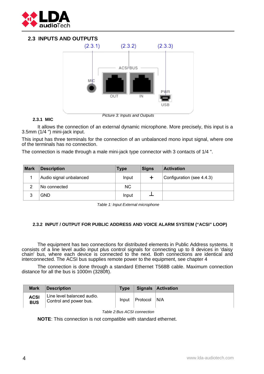

## **2.3 INPUTS AND OUTPUTS**



### **2.3.1 MIC**

It allows the connection of an external dynamic microphone. More precisely, this input is a 3.5mm (1/4 ") mini-jack input.

This input has three terminals for the connection of an unbalanced mono input signal, where one of the terminals has no connection.

The connection is made through a male mini-jack type connector with 3 contacts of 1/4 ".

| <b>Mark</b> | <b>Description</b>      | <b>Type</b> | <b>Signs</b> | <b>Activation</b>         |
|-------------|-------------------------|-------------|--------------|---------------------------|
|             | Audio signal unbalanced | Input       |              | Configuration (see 4.4.3) |
| 2           | No connected            | NC.         |              |                           |
|             | <b>GND</b>              | Input       |              |                           |

Table 1: Input External microphone

### **2.3.2 INPUT / OUTPUT FOR PUBLIC ADDRESS AND VOICE ALARM SYSTEM ("ACSI" LOOP)**

The equipment has two connections for distributed elements in Public Address systems. It consists of a line level audio input plus control signals for connecting up to 8 devices in 'daisy chain' bus, where each device is connected to the next. Both connections are identical and interconnected. The ACSI bus supplies remote power to the equipment, see chapter [4](#page-10-0)

The connection is done through a standard Ethernet T568B cable. Maximum connection distance for all the bus is 1000m (3280ft).

| <b>Mark</b>               | <b>Description</b>                                   | <b>Type</b> |          | <b>Signals Activation</b> |
|---------------------------|------------------------------------------------------|-------------|----------|---------------------------|
| <b>ACSI</b><br><b>BUS</b> | Line level balanced audio.<br>Control and power bus. | Input       | Protocol | 'N/A                      |

Table 2:Bus ACSI connection

**NOTE**: This connection is not compatible with standard ethernet.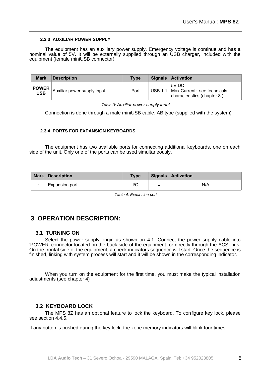### **2.3.3 AUXILIAR POWER SUPPLY**

The equipment has an auxiliary power supply. Emergency voltage is continue and has a nominal value of 5V. It will be externally supplied through an USB charger, included with the equipment (female miniUSB connector).

| <b>Mark</b>                                                     | <b>Description</b>           | <b>Type</b> |         | Signals Activation                                                  |
|-----------------------------------------------------------------|------------------------------|-------------|---------|---------------------------------------------------------------------|
| $\begin{array}{c}\n\mathsf{POWER} \\ \mathsf{USB}\n\end{array}$ | Auxiliar power supply input. | Port        | USB 1.1 | 5V DC<br>Max Current: see technicals<br>characteristics (chapter 8) |

Table 3: *Auxiliar power supply input*

Connection is done through a male miniUSB cable, AB type (supplied with the system)

### **2.3.4 PORTS FOR EXPANSION KEYBOARDS**

The equipment has two available ports for connecting additional keyboards, one on each side of the unit. Only one of the ports can be used simultaneously.

|        | <b>Mark Description</b> | <b>Type</b> |                          | Signals Activation |
|--------|-------------------------|-------------|--------------------------|--------------------|
| $\sim$ | <b>Expansion port</b>   | l/C         | $\overline{\phantom{a}}$ | N/A                |

Table 4: Expansion port

## **3 OPERATION DESCRIPTION:**

### **3.1 TURNING ON**

Select the power supply origin as shown on [4.1.](#page-10-1) Connect the power supply cable into 'POWER' connector located on the back side of the equipment, or directly through the ACSI bus. On the frontal side of the equipment, a check indicators sequence will start. Once the sequence is finished, linking with system process will start and it will be shown in the corresponding indicator.

When you turn on the equipment for the first time, you must make the typical installation adjustments (see chapter [4\)](#page-10-0)

### **3.2 KEYBOARD LOCK**

The MPS 8Z has an optional feature to lock the keyboard. To configure key lock, please see section [4.4.5.](#page-14-1)

If any button is pushed during the key lock, the zone memory indicators will blink four times.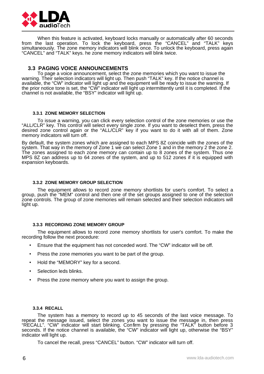

When this feature is activated, keyboard locks manually or automatically after 60 seconds from the last operation. To lock the keyboard, press the "CANCEL" and "TALK" keys simultaneously. The zone memory indicators will blink once. To unlock the keyboard, press again "CANCEL" and "TALK" keys. he zone memory indicators will blink twice.

### **3.3 PAGING VOICE ANNOUNCEMENTS**

To page a voice announcement, select the zone memories which you want to issue the warning. Their selection indicators will light up. Then push "TALK" key. If the notice channel is available, the "CW" indicator will light up and the equipment will be ready to issue the warning. If the prior notice tone is set, the "CW" indicator will light up intermittently until it is completed. If the channel is not available, the "BSY" indicator will light up.

#### **3.3.1 ZONE MEMORY SELECTION**

To issue a warning, you can click every selection control of the zone memories or use the "ALL/CLR" key. This control will select every single zone. If you want to deselect them, press the desired zone control again or the "ALL/CLR" key if you want to do it with all of them. Zone memory indicators will turn off.

By default, the system zones which are assigned to each MPS 8Z coincide with the zones of the system. That way in the memory of Zone 1 we can select Zone 1 and in the memory 2 the zone 2. The zones assigned to each zone memory can contain up to 8 zones of the system. Thus one MPS 8Z can address up to 64 zones of the system, and up to 512 zones if it is equipped with expansion keyboards.

#### **3.3.2 ZONE MEMORY GROUP SELECTION**

The equipment allows to record zone memory shortlists for user's comfort. To select a group, push the "MEM" control and then one of the set groups assigned to one of the selection zone controls. The group of zone memories will remain selected and their selection indicators will light up.

### **3.3.3 RECORDING ZONE MEMORY GROUP**

The equipment allows to record zone memory shortlists for user's comfort. To make the recording follow the next procedure:

- Ensure that the equipment has not conceded word. The "CW" indicator will be off.
- Press the zone memories you want to be part of the group.
- Hold the "MEMORY" key for a second.
- Selection leds blinks.
- Press the zone memory where you want to assign the group.

#### **3.3.4 RECALL**

The system has a memory to record up to 45 seconds of the last voice message. To repeat the message issued, select the zones you want to issue the message in, then press "RECALL". "CW" indicator will start blinking. Confirm by pressing the "TALK" button before 3 seconds. If the notice channel is available, the "CW" indicator will light up, otherwise the "BSY" indicator will light up.

To cancel the recall, press "CANCEL" button. "CW" indicator will turn off.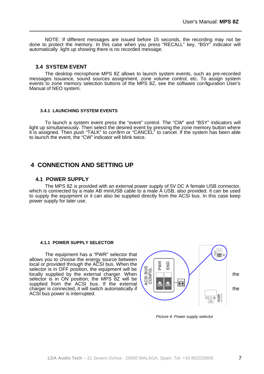NOTE: If different messages are issued before 15 seconds, the recording may not be done to protect the memory. In this case when you press "RECALL" key, "BSY" indicator will automatically light up showing there is no recorded message.

### **3.4 SYSTEM EVENT**

The desktop microphone MPS 8Z allows to launch system events, such as pre-recorded messages issuance, sound sources assignment, zone volume control, etc. To assign system events to zone memory selection buttons of the MPS 8Z, see the software configuration User's Manual of NEO system.

### **3.4.1 LAUNCHING SYSTEM EVENTS**

To launch a system event press the "event" control. The "CW" and "BSY" indicators will light up simultaneously. Then select the desired event by pressing the zone memory button where it is assigned. Then push "TALK" to confirm or "CANCEL" to cancel. If the system has been able to launch the event, the "CW" indicator will blink twice.

## <span id="page-10-0"></span> **4 CONNECTION AND SETTING UP**

### <span id="page-10-1"></span> **4.1 POWER SUPPLY**

The MPS 8Z is provided with an external power supply of 5V DC A female USB connector, which is connected by a male AB miniUSB cable to a male A USB, also provided. It can be used to supply the equipment or it can also be supplied directly from the ACSI bus. In this case keep power supply for later use.

### **4.1.1 POWER SUPPLY SELECTOR**

The equipment has a "PWR" selector that allows you to choose the energy source between local or provided through the ACSI bus. When the selector is in OFF position, the equipment will be selector is in OFF position, the equipment will be<br>locally supplied by the external charger. When selector is in ON position, the MPS 8Z will be<br>supplied from the ACSI bus. If the external  $\begin{pmatrix} \frac{\infty}{10} & \frac{\infty}{10} \\ \frac{\infty$ selector is in ON position, the MPS 8Z will be supplied from the ACSI bus. If the external supplied from the ACSI bus. If the external  $\left\{ \frac{1}{2} \right\}$  on  $\left\{ \frac{1}{2} \right\}$  the charger is connected, it will switch automatically if ACSI bus power is interrupted.



Picture 4: Power supply selector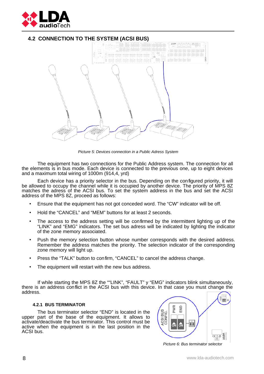

## **4.2 CONNECTION TO THE SYSTEM (ACSI BUS)**

<span id="page-11-0"></span>

Picture 5: Devices connection in a Public Adress System

The equipment has two connections for the Public Address system. The connection for all the elements is in bus mode. Each device is connected to the previous one, up to eight devices and a maximum total wiring of 1000m (914,4, yrd)

Each device has a priority selector in the bus. Depending on the configured priority, it will be allowed to occupy the channel while it is occupied by another device. The priority of MPS 8Z matches the adress of the ACSI bus. To set the system address in the bus and set the ACSI address of the MPS 8Z, proceed as follows:

- Ensure that the equipment has not got conceded word. The "CW" indicator will be off.
- Hold the "CANCEL" and "MEM" buttons for at least 2 seconds.
- The access to the address setting will be confirmed by the intermittent lighting up of the "LINK" and "EMG" indicators. The set bus adress will be indicated by lighting the indicator of the zone memory associated.
- Push the memory selection button whose number corresponds with the desired address. Remember the address matches the priority. The selection indicator of the corresponding zone memory will light up.
- Press the "TALK" button to confirm, "CANCEL" to cancel the address change.
- The equipment will restart with the new bus address.

If while starting the MPS 8Z the ""LINK", "FAULT" y "EMG" indicators blink simultaneously, there is an address conflict in the ACSI bus with this device. In that case you must change the address.

#### <span id="page-11-1"></span> **4.2.1 BUS TERMINATOR**

The bus terminator selector "END" is located in the upper part of the base of the equipment. It allows to activate/deactivate the bus terminator. This control must be active when the equipment is in the last position in the ACSI bus.



Picture 6: Bus terminator selector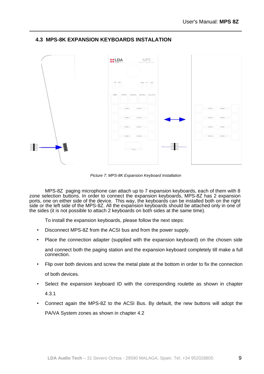

## <span id="page-12-0"></span> **4.3 MPS-8K EXPANSION KEYBOARDS INSTALATION**

Picture 7: MPS-8K Expansion Keyboard Installation

MPS-8Z paging microphone can attach up to 7 expansion keyboards, each of them with 8 zone selection buttons. In order to connect the expansion keyboards, MPS-8Z has 2 expansion ports, one on either side of the device. This way, the keyboards can be installed both on the right side or the left side of the MPS-8Z. All the expansion keyboards should be attached only in one of the sides (it is not possible to attach 2 keyboards on both sides at the same time).

To install the expansion keyboards, please follow the next steps:

- Disconnect MPS-8Z from the ACSI bus and from the power supply.
- Place the connection adapter (supplied with the expansion keyboard) on the chosen side

and connect both the paging station and the expansion keyboard completely till make a full connection.

- Flip over both devices and screw the metal plate at the bottom in order to fix the connection of both devices.
- Select the expansion keyboard ID with the corresponding roulette as shown in chapter [4.3.1](#page-13-0)
- Connect again the MPS-8Z to the ACSI Bus. By default, the new buttons will adopt the PA/VA System zones as shown in chapter [4.2](#page-11-0)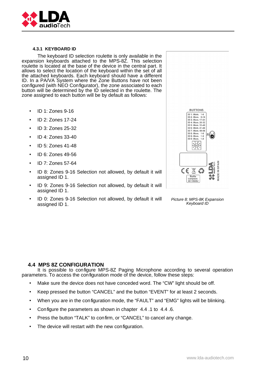

#### <span id="page-13-0"></span> **4.3.1 KEYBOARD ID**

The keyboard ID selection roulette is only available in the expansion keyboards attached to the MPS-8Z. This selection roulette is located at the base of the device in the central part. It allows to select the location of the keyboard within the set of all the attached keyboards. Each keyboard should have a different ID. In a PA/VA System where the Zone Buttons have not been configured (with NEO Configurator), the zone associated to each button will be determined by the ID selected in the roulette. The zone assigned to each button will be by default as follows:

- ID 1: Zones 9-16
- ID 2: Zones 17-24
- ID 3: Zones 25-32
- ID 4: Zones 33-40
- ID 5: Zones 41-48
- ID 6: Zones 49-56
- ID 7: Zones 57-64
- ID 8: Zones 9-16 Selection not allowed, by default it will assigned ID 1.
- ID 9: Zones 9-16 Selection not allowed, by default it will assigned ID 1.
- ID 0: Zones 9-16 Selection not allowed, by default it will assigned ID 1.



Picture 8: MPS-8K Expansion Keyboard ID

### <span id="page-13-1"></span> **4.4 MPS 8Z CONFIGURATION**

It is possible to configure MPS-8Z Paging Microphone according to several operation parameters. To access the configuration mode of the device, follow these steps:

- Make sure the device does not have conceded word. The "CW" light should be off.
- Keep pressed the button "CANCEL" and the button "EVENT" for at least 2 seconds.
- When you are in the configuration mode, the "FAULT" and "EMG" lights will be blinking.
- Configure the parameters as shown in chapter [4.4 .](#page-13-1)1 to [4.4 .](#page-13-1)6.
- Press the button "TALK" to confirm, or "CANCEL" to cancel any change.
- The device will restart with the new configuration.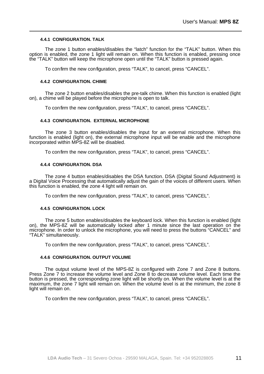#### **4.4.1 CONFIGURATION. TALK**

The zone 1 button enables/disables the "latch" function for the "TALK" button. When this option is enabled, the zone 1 light will remain on. When this function is enabled, pressing once the "TALK" button will keep the microphone open until the "TALK" button is pressed again.

To confirm the new configuration, press "TALK", to cancel, press "CANCEL".

#### <span id="page-14-2"></span> **4.4.2 CONFIGURATION. CHIME**

The zone 2 button enables/disables the pre-talk chime. When this function is enabled (light on), a chime will be played before the microphone is open to talk.

To confirm the new configuration, press "TALK", to cancel, press "CANCEL".

#### <span id="page-14-0"></span> **4.4.3 CONFIGURATION. EXTERNAL MICROPHONE**

The zone 3 button enables/disables the input for an external microphone. When this function is enabled (light on), the external microphone input will be enable and the microphone incorporated within MPS-8Z will be disabled.

To confirm the new configuration, press "TALK", to cancel, press "CANCEL".

#### **4.4.4 CONFIGURATION. DSA**

The zone 4 button enables/disables the DSA function. DSA (Digital Sound Adjustment) is a Digital Voice Processing that automatically adjust the gain of the voices of different users. When this function is enabled, the zone 4 light will remain on.

To confirm the new configuration, press "TALK", to cancel, press "CANCEL".

### <span id="page-14-1"></span> **4.4.5 CONFIGURATION. LOCK**

The zone 5 button enables/disables the keyboard lock. When this function is enabled (light on), the MPS-8Z will be automatically locked after 1 minute since the last operation on the microphone. In order to unlock the microphone, you will need to press the buttons "CANCEL" and "TALK" simultaneously.

To confirm the new configuration, press "TALK", to cancel, press "CANCEL".

#### <span id="page-14-3"></span> **4.4.6 CONFIGURATION. OUTPUT VOLUME**

The output volume level of the MPS-8Z is configured with Zone 7 and Zone 8 buttons. Press Zone 7 to increase the volume level and Zone 8 to decrease volume level. Each time the button is pressed, the corresponding zone light will be shortly on. When the volume level is at the maximum, the zone 7 light will remain on. When the volume level is at the minimum, the zone 8 light will remain on.

To confirm the new configuration, press "TALK", to cancel, press "CANCEL".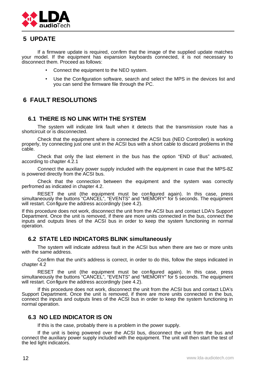

## **5 UPDATE**

If a firmware update is required, confirm that the image of the supplied update matches your model. If the equipment has expansion keyboards connected, it is not necessary to disconnect them. Proceed as follows:

- Connect the equipment to the NEO system.
- Use the Configuration software, search and select the MPS in the devices list and you can send the firmware file through the PC.

## **6 FAULT RESOLUTIONS**

## <span id="page-15-0"></span> **6.1 THERE IS NO LINK WITH THE SYSTEM**

The system will indicate link fault when it detects that the transmission route has a shortcircuit or is disconnected.

Check that the equipment where is connected the ACSI bus (NEO Controller) is working properly, try connecting just one unit in the ACSI bus with a short cable to discard problems in the cable.

Check that only the last element in the bus has the option "END of Bus" activated, according to chapter [4.2.1](#page-11-1)

Connect the auxiliary power supply included with the equipment in case that the MPS-8Z is powered directly from the ACSI bus.

Check that the connection between the equipment and the system was correctly perfromed as indicated in chapter [4.2.](#page-11-0)

RESET the unit (the equipment must be configured again). In this case, press simultaneously the buttons "CANCEL", "EVENTS" and "MEMORY" for 5 seconds. The equipment will restart. Configure the address accordingly (see [4.2\)](#page-11-0).

If this procedure does not work, disconnect the unit from the ACSI bus and contact LDA's Support Department. Once the unit is removed, if there are more units connected in the bus, connect the inputs and outputs lines of the ACSI bus in order to keep the system functioning in normal operation.

## **6.2 STATE LED INDICATORS BLINK simultaneously**

The system will indicate address fault in the ACSI bus when there are two or more units with the same address.

Confirm that the unit's address is correct, in order to do this, follow the steps indicated in chapte[r 4.2](#page-11-0) 

RESET the unit (the equipment must be configured again). In this case, press simultaneously the buttons "CANCEL", "EVENTS" and "MEMORY" for 5 seconds. The equipment will restart. Configure the address accordingly (see [4.2\)](#page-11-0).

If this procedure does not work, disconnect the unit from the ACSI bus and contact LDA's Support Department. Once the unit is removed, if there are more units connected in the bus, connect the inputs and outputs lines of the ACSI bus in order to keep the system functioning in normal operation.

## **6.3 NO LED INDICATOR IS ON**

If this is the case, probably there is a problem in the power supply.

If the unit is being powered over the ACSI bus, disconnect the unit from the bus and connect the auxiliary power supply included with the equipment. The unit will then start the test of the led light indicators.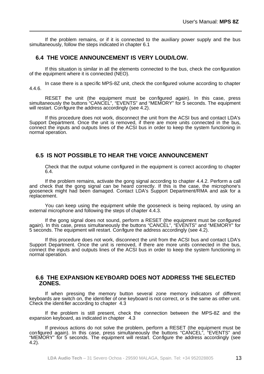If the problem remains, or if it is connected to the auxiliary power supply and the bus simultaneously, follow the steps indicated in chapter [6.1](#page-15-0)

## <span id="page-16-0"></span> **6.4 THE VOICE ANNOUNCEMENT IS VERY LOUD/LOW.**

If this situation is similar in all the elements connected to the bus, check the configuration of the equipment where it is connected (NEO).

In case there is a specific MPS-8Z unit, check the configured volume according to chapter [4.4.6.](#page-14-3)

RESET the unit (the equipment must be configured again). In this case, press simultaneously the buttons "CANCEL", "EVENTS" and "MEMORY" for 5 seconds. The equipment will restart. Configure the address accordingly (see [4.2\)](#page-11-0).

If this procedure does not work, disconnect the unit from the ACSI bus and contact LDA's Support Department. Once the unit is removed, if there are more units connected in the bus, connect the inputs and outputs lines of the ACSI bus in order to keep the system functioning in normal operation.

## **6.5 IS NOT POSSIBLE TO HEAR THE VOICE ANNOUNCEMENT**

Check that the output volume configured in the equipment is correct according to chapter [6.4.](#page-16-0)

If the problem remains, activate the gong signal according to chapter [4.4.2.](#page-14-2) Perform a call and check that the gong signal can be heard correctly. If this is the case, the microphone's gooseneck might had been damaged. Contact LDA's Support Department/RMA and ask for a replacement.

You can keep using the equipment while the gooseneck is being replaced, by using an external microphone and following the steps of chapter [4.4.3.](#page-14-0)

If the gong signal does not sound, perform a RESET (the equipment must be configured again). In this case, press simultaneously the buttons "CANCEL", "EVENTS" and "MEMORY" for 5 seconds. The equipment will restart. Configure the address accordingly (see [4.2\)](#page-11-0).

If this procedure does not work, disconnect the unit from the ACSI bus and contact LDA's Support Department. Once the unit is removed, if there are more units connected in the bus, connect the inputs and outputs lines of the ACSI bus in order to keep the system functioning in normal operation.

## **6.6 THE EXPANSION KEYBOARD DOES NOT ADDRESS THE SELECTED ZONES.**

If when pressing the memory button several zone memory indicators of different keyboards are switch on, the identifier of one keyboard is not correct, or is the same as other unit. Check the identifier according to chapter [4.3](#page-12-0) 

If the problem is still present, check the connection between the MPS-8Z and the expansion keyboard, as indicated in chapter [4.3](#page-12-0) 

If previous actions do not solve the problem, perform a RESET (the equipment must be configured again). In this case, press simultaneously the buttons "CANCEL", "EVENTS" and "MEMORY" for 5 seconds. The equipment will restart. Configure the address accordingly (see [4.2\)](#page-11-0).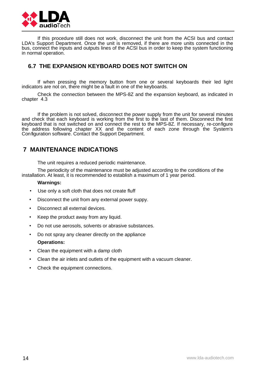

If this procedure still does not work, disconnect the unit from the ACSI bus and contact LDA's Support Department. Once the unit is removed, if there are more units connected in the bus, connect the inputs and outputs lines of the ACSI bus in order to keep the system functioning in normal operation.

## **6.7 THE EXPANSION KEYBOARD DOES NOT SWITCH ON**

If when pressing the memory button from one or several keyboards their led light indicators are not on, there might be a fault in one of the keyboards.

Check the connection between the MPS-8Z and the expansion keyboard, as indicated in chapter [4.3](#page-12-0) 

If the problem is not solved, disconnect the power supply from the unit for several minutes and check that each keyboard is working from the first to the last of them. Disconnect the first keyboard that is not switched on and connect the rest to the MPS-8Z. If necessary, re-configure the address following chapter XX and the content of each zone through the System's Configuration software. Contact the Support Department.

## **7 MAINTENANCE INDICATIONS**

The unit requires a reduced periodic maintenance.

The periodicity of the maintenance must be adjusted according to the conditions of the installation. At least, it is recommended to establish a maximum of 1 year period.

### **Warnings:**

- Use only a soft cloth that does not create fluff
- Disconnect the unit from any external power suppy.
- Disconnect all external devices.
- Keep the product away from any liquid.
- Do not use aerosols, solvents or abrasive substances.
- Do not spray any cleaner directly on the appliance **Operations:**
- Clean the equipment with a damp cloth
- Clean the air inlets and outlets of the equipment with a vacuum cleaner.
- Check the equipment connections.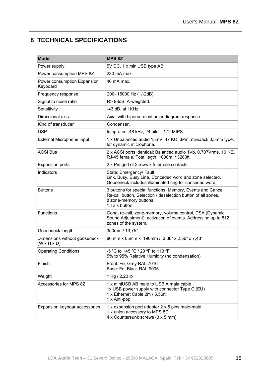## **8 TECHNICAL SPECIFICATIONS**

| <b>Model</b>                                            | <b>MPS 8Z</b>                                                                                                                                                           |  |
|---------------------------------------------------------|-------------------------------------------------------------------------------------------------------------------------------------------------------------------------|--|
| Power supply                                            | 5V DC, 1 x miniUSB type AB.                                                                                                                                             |  |
| Power consumption MPS 8Z                                | 230 mA max.                                                                                                                                                             |  |
| Power consumption Expansion<br>Keyboard                 | 40 mA max.                                                                                                                                                              |  |
| Frequency response                                      | 200-15000 Hz (+/-2dB).                                                                                                                                                  |  |
| Signal to noise ratio                                   | R> 98dB, A-weighted.                                                                                                                                                    |  |
| Sensitivity                                             | -43 dB. at 1KHz.                                                                                                                                                        |  |
| Direccional axis                                        | Axial with hipercardioid polar diagram response.                                                                                                                        |  |
| Kind of transducer                                      | Condenser.                                                                                                                                                              |  |
| <b>DSP</b>                                              | Integrated. 48 kHz, 24 bits - 172 MIPS.                                                                                                                                 |  |
| External Microphone input                               | 1 x Unbalanced audio 15mV, 47 KΩ, 3Pin, miniJack 3,5mm type,<br>for dynamic microphone.                                                                                 |  |
| <b>ACSI Bus</b>                                         | 2 x ACSI ports identical: Balanced audio 1Vp, 0,707Vrms. 10 KQ,<br>RJ-45 female, Total legth: 1000m. / 3280ft.                                                          |  |
| <b>Expansion ports</b>                                  | 2 x Pin grid of 2 rows x 5 female contacts.                                                                                                                             |  |
| Indicators                                              | State: Emergency/ Fault.<br>Link. Busy, Busy Line, Conceded word and zone selected.<br>Gooseneck includes illuminated ring for conceded word.                           |  |
| <b>Buttons</b>                                          | 3 buttons for special functions: Memory, Events and Cancel.<br>Re-call button, Selection / deselection button of all zones.<br>8 zone-memory buttons.<br>1 Talk button. |  |
| <b>Functions</b>                                        | Gong, re-call, zone-memory, volume control, DSA (Dynamic<br>Sound Adjustment), activation of events. Addressing up to 512<br>zones of the system.                       |  |
| Gooseneck length                                        | 350mm / 13,75"                                                                                                                                                          |  |
| Dimensions without gooseneck<br>$(W \times H \times D)$ | 86 mm x 65mm x 190mm / 3,38" x 2,56" x 7,48"                                                                                                                            |  |
| <b>Operating Conditions</b>                             | -5 °C to +45 °C / 23 °F to 113 °F<br>5% to 95% Relative Humidity (no condensation)                                                                                      |  |
| Finish                                                  | Front: Fe, Grey RAL 7016<br>Base: Fe, Black RAL 9005                                                                                                                    |  |
| Weight                                                  | 1 Kg / 2,20 lb                                                                                                                                                          |  |
| Accessories for MPS 8Z                                  | 1 x miniUSB AB male to USB A male cable<br>1x USB power supply with connector Type C (EU)<br>1 x Ethernet Cable 2m / 6,56ft.<br>1 x Anti-pop                            |  |
| Expansion keyboar accessories                           | 1 x expansion port adapter 2 x 5 pins male-male<br>1 x union accessory to MPS 8Z<br>4 x Countersunk screws (3 x 5 mm)                                                   |  |